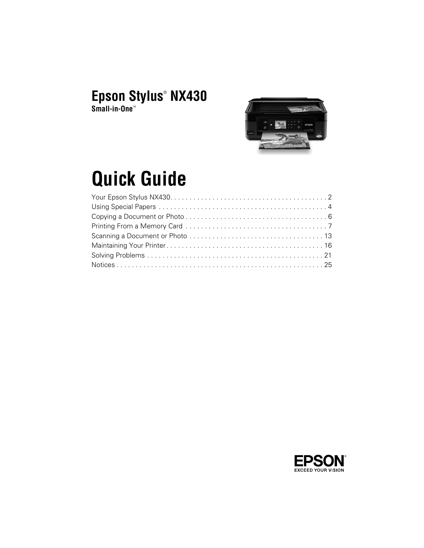# **Epson Stylus**®  **NX430**

**Small-in-One**™



# **Quick Guide**

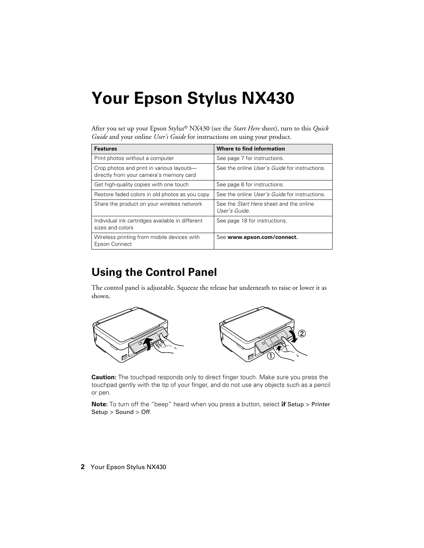# <span id="page-1-0"></span>**Your Epson Stylus NX430**

After you set up your Epson Stylus® NX430 (see the *Start Here* sheet), turn to this *Quick Guide* and your online *User's Guide* for instructions on using your product.

| <b>Features</b>                                                                      | Where to find information                                       |
|--------------------------------------------------------------------------------------|-----------------------------------------------------------------|
| Print photos without a computer                                                      | See page 7 for instructions.                                    |
| Crop photos and print in various layouts-<br>directly from your camera's memory card | See the online User's Guide for instructions.                   |
| Get high-quality copies with one touch                                               | See page 6 for instructions.                                    |
| Restore faded colors in old photos as you copy                                       | See the online User's Guide for instructions.                   |
| Share the product on your wireless network                                           | See the <i>Start Here</i> sheet and the online<br>User's Guide. |
| Individual ink cartridges available in different<br>sizes and colors                 | See page 18 for instructions.                                   |
| Wireless printing from mobile devices with<br>Epson Connect                          | See www.epson.com/connect.                                      |

# **Using the Control Panel**

The control panel is adjustable. Squeeze the release bar underneath to raise or lower it as shown.



**Caution:** The touchpad responds only to direct finger touch. Make sure you press the touchpad gently with the tip of your finger, and do not use any objects such as a pencil or pen.

**Note:** To turn off the "beep" heard when you press a button, select **N** Setup > Printer Setup > Sound > Off.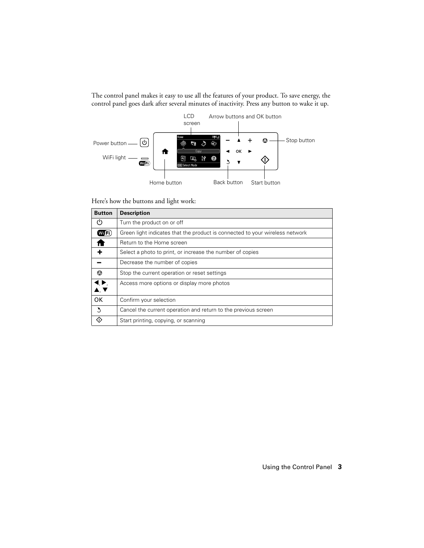The control panel makes it easy to use all the features of your product. To save energy, the control panel goes dark after several minutes of inactivity. Press any button to wake it up.



Here's how the buttons and light work:

| <b>Button</b>                                                                    | <b>Description</b>                                                           |
|----------------------------------------------------------------------------------|------------------------------------------------------------------------------|
| $^{\prime}$                                                                      | Turn the product on or off                                                   |
| (WTFi)                                                                           | Green light indicates that the product is connected to your wireless network |
|                                                                                  | Return to the Home screen                                                    |
|                                                                                  | Select a photo to print, or increase the number of copies                    |
|                                                                                  | Decrease the number of copies                                                |
| ◙                                                                                | Stop the current operation or reset settings                                 |
| $\blacklozenge, \blacktriangleright,$<br>$\blacktriangle$ , $\blacktriangledown$ | Access more options or display more photos                                   |
| <b>OK</b>                                                                        | Confirm your selection                                                       |
| $\mathcal{L}$                                                                    | Cancel the current operation and return to the previous screen               |
|                                                                                  | Start printing, copying, or scanning                                         |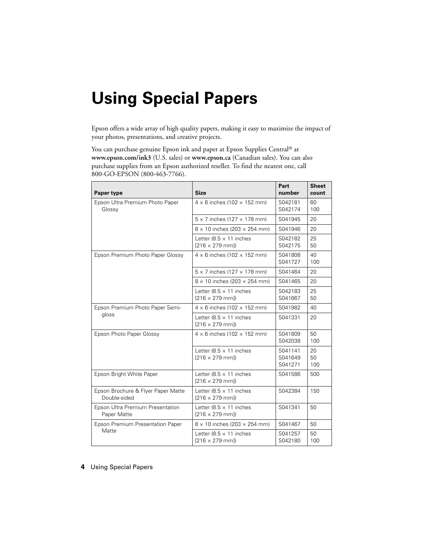# <span id="page-3-0"></span>**Using Special Papers**

Epson offers a wide array of high quality papers, making it easy to maximize the impact of your photos, presentations, and creative projects.

You can purchase genuine Epson ink and paper at Epson Supplies Central® at **www.epson.com/ink3** (U.S. sales) or **www.epson.ca** (Canadian sales). You can also purchase supplies from an Epson authorized reseller. To find the nearest one, call 800-GO-EPSON (800-463-7766).

| Paper type                                         | <b>Size</b>                                               | Part<br>number                | <b>Sheet</b><br>count |
|----------------------------------------------------|-----------------------------------------------------------|-------------------------------|-----------------------|
| Epson Ultra Premium Photo Paper<br>Glossy          | $4 \times 6$ inches (102 $\times$ 152 mm)                 | S042181<br>S042174            | 60<br>100             |
|                                                    | $5 \times 7$ inches (127 $\times$ 178 mm)                 | S041945                       | 20                    |
|                                                    | $8 \times 10$ inches (203 $\times$ 254 mm)                | S041946                       | 20                    |
|                                                    | Letter $(8.5 \times 11)$ inches<br>$[216 \times 279$ mml) | S042182<br>S042175            | 25<br>50              |
| Epson Premium Photo Paper Glossy                   | $4 \times 6$ inches (102 $\times$ 152 mm)                 | S041808<br>S041727            | 40<br>100             |
|                                                    | $5 \times 7$ inches (127 $\times$ 178 mm)                 | S041464                       | 20                    |
|                                                    | $8 \times 10$ inches (203 $\times$ 254 mm)                | S041465                       | 20                    |
|                                                    | Letter $(8.5 \times 11)$ inches<br>$[216 \times 279$ mml) | S042183<br>S041667            | 25<br>50              |
| Epson Premium Photo Paper Semi-                    | $4 \times 6$ inches (102 $\times$ 152 mm)                 | S041982                       | 40                    |
| gloss                                              | Letter $(8.5 \times 11)$ inches<br>$[216 \times 279$ mml) | S041331                       | 20                    |
| Epson Photo Paper Glossy                           | $4 \times 6$ inches (102 $\times$ 152 mm)                 | S041809<br>S042038            | 50<br>100             |
|                                                    | Letter $(8.5 \times 11)$ inches<br>$[216 \times 279$ mml) | S041141<br>S041649<br>S041271 | 20<br>50<br>100       |
| Epson Bright White Paper                           | Letter $(8.5 \times 11)$ inches<br>$[216 \times 279$ mm]) | S041586                       | 500                   |
| Epson Brochure & Flyer Paper Matte<br>Double-sided | Letter $(8.5 \times 11)$ inches<br>$[216 \times 279$ mml) | S042384                       | 150                   |
| Epson Ultra Premium Presentation<br>Paper Matte    | Letter $(8.5 \times 11)$ inches<br>$[216 \times 279$ mm]) | S041341                       | 50                    |
| Epson Premium Presentation Paper                   | $8 \times 10$ inches (203 $\times$ 254 mm)                | S041467                       | 50                    |
| Matte                                              | Letter $(8.5 \times 11)$ inches<br>$[216 \times 279$ mml) | S041257<br>S042180            | 50<br>100             |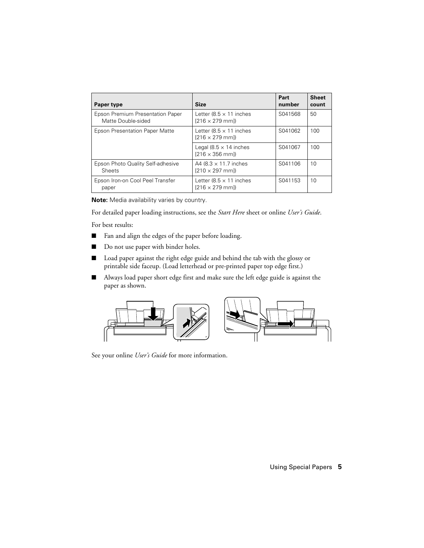| Paper type                                             | <b>Size</b>                                               | Part<br>number | <b>Sheet</b><br>count |
|--------------------------------------------------------|-----------------------------------------------------------|----------------|-----------------------|
| Epson Premium Presentation Paper<br>Matte Double-sided | Letter $(8.5 \times 11)$ inches<br>$[216 \times 279$ mml) | S041568        | 50                    |
| Epson Presentation Paper Matte                         | Letter (8.5 $\times$ 11 inches<br>$[216 \times 279$ mml)  | S041062        | 100                   |
|                                                        | Legal (8.5 $\times$ 14 inches<br>$[216 \times 356$ mml)   | S041067        | 100                   |
| Epson Photo Quality Self-adhesive<br>Sheets            | A4 $(8.3 \times 11.7)$ inches<br>$[210 \times 297$ mml)   | S041106        | 10                    |
| Epson Iron-on Cool Peel Transfer<br>paper              | Letter (8.5 $\times$ 11 inches<br>$[216 \times 279$ mml)  | S041153        | 10                    |

**Note:** Media availability varies by country.

For detailed paper loading instructions, see the *Start Here* sheet or online *User's Guide*.

For best results:

- Fan and align the edges of the paper before loading.
- Do not use paper with binder holes.
- Load paper against the right edge guide and behind the tab with the glossy or printable side faceup. (Load letterhead or pre-printed paper top edge first.)
- Always load paper short edge first and make sure the left edge guide is against the paper as shown.



See your online *User's Guide* for more information.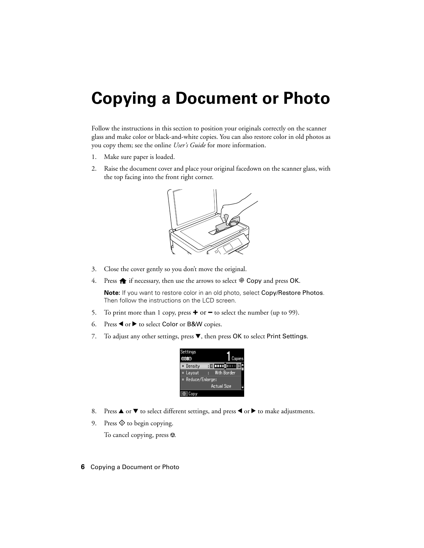# <span id="page-5-0"></span>**Copying a Document or Photo**

Follow the instructions in this section to position your originals correctly on the scanner glass and make color or black-and-white copies. You can also restore color in old photos as you copy them; see the online *User's Guide* for more information.

- 1. Make sure paper is loaded.
- 2. Raise the document cover and place your original facedown on the scanner glass, with the top facing into the front right corner.



- 3. Close the cover gently so you don't move the original.
- 4. Press  $\bigoplus$  if necessary, then use the arrows to select  $\bigotimes$  Copy and press OK.

**Note:** If you want to restore color in an old photo, select Copy/Restore Photos. Then follow the instructions on the LCD screen.

- 5. To print more than 1 copy, press **+** or **–** to select the number (up to 99).
- 6. Press  $\triangleleft$  or  $\triangleright$  to select Color or B&W copies.
- 7. To adjust any other settings, press  $\nabla$ , then press OK to select Print Settings.

| Settings          |                    |  |
|-------------------|--------------------|--|
|                   | Copies             |  |
| Density           | <u> : 0 000 </u>   |  |
| Layout            | With Border        |  |
| ¤ Reduce/Enlarge: |                    |  |
|                   | <b>Actual Size</b> |  |
|                   |                    |  |

- 8. Press  $\blacktriangle$  or  $\nabla$  to select different settings, and press  $\blacktriangleleft$  or  $\blacktriangleright$  to make adjustments.
- 9. Press  $\hat{\Phi}$  to begin copying.

To cancel copying, press  $\otimes$ .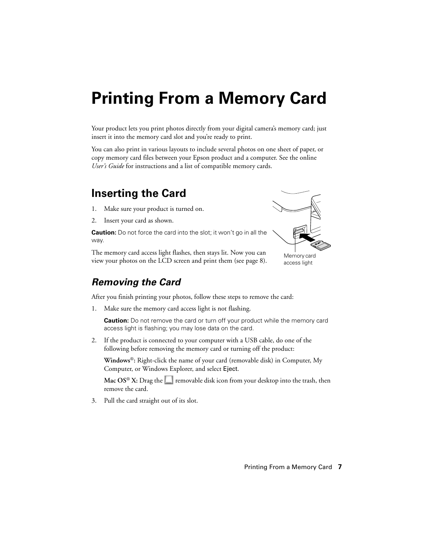# <span id="page-6-0"></span>**Printing From a Memory Card**

Your product lets you print photos directly from your digital camera's memory card; just insert it into the memory card slot and you're ready to print.

You can also print in various layouts to include several photos on one sheet of paper, or copy memory card files between your Epson product and a computer. See the online *User's Guide* for instructions and a list of compatible memory cards.

## **Inserting the Card**

- 1. Make sure your product is turned on.
- 2. Insert your card as shown.

**Caution:** Do not force the card into the slot; it won't go in all the way.

The memory card access light flashes, then stays lit. Now you can view your photos on the LCD screen and print them (see [page 8](#page-7-0)).

### *Removing the Card*

After you finish printing your photos, follow these steps to remove the card:

1. Make sure the memory card access light is not flashing.

**Caution:** Do not remove the card or turn off your product while the memory card access light is flashing; you may lose data on the card.

2. If the product is connected to your computer with a USB cable, do one of the following before removing the memory card or turning off the product:

**Windows**®**:** Right-click the name of your card (removable disk) in Computer, My Computer, or Windows Explorer, and select Eject.

**Mac OS<sup>®</sup> X:** Drag the removable disk icon from your desktop into the trash, then remove the card.

3. Pull the card straight out of its slot.



Memory card access light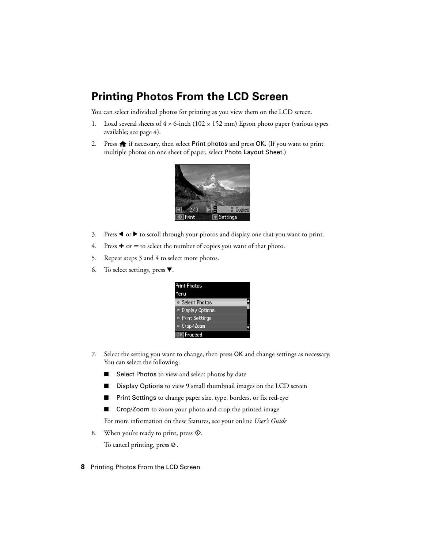# <span id="page-7-0"></span>**Printing Photos From the LCD Screen**

You can select individual photos for printing as you view them on the LCD screen.

- 1. Load several sheets of  $4 \times 6$ -inch (102  $\times$  152 mm) Epson photo paper (various types available; see [page 4\)](#page-3-0).
- 2. Press  $\bigoplus$  if necessary, then select Print photos and press OK. (If you want to print multiple photos on one sheet of paper, select Photo Layout Sheet.)



- 3. Press  $\blacktriangleleft$  or  $\blacktriangleright$  to scroll through your photos and display one that you want to print.
- 4. Press **+** or **–** to select the number of copies you want of that photo.
- 5. Repeat steps 3 and 4 to select more photos.
- 6. To select settings, press  $\blacktriangledown$ .



- 7. Select the setting you want to change, then press OK and change settings as necessary. You can select the following:
	- Select Photos to view and select photos by date
	- Display Options to view 9 small thumbnail images on the LCD screen
	- Print Settings to change paper size, type, borders, or fix red-eye
	- Crop/Zoom to zoom your photo and crop the printed image

For more information on these features, see your online *User's Guide*

8. When you're ready to print, press  $\hat{\mathcal{D}}$ .

To cancel printing, press  $\otimes$ .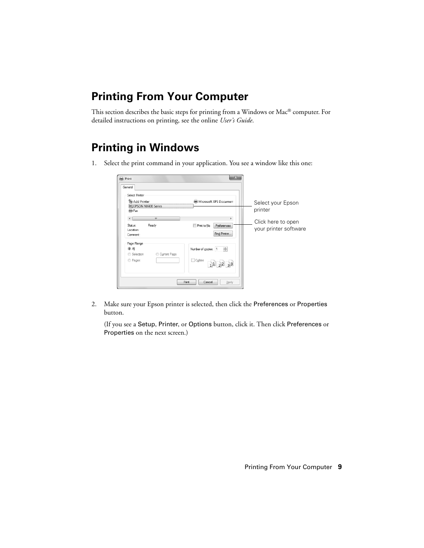# **Printing From Your Computer**

This section describes the basic steps for printing from a Windows or Mac® computer. For detailed instructions on printing, see the online *User's Guide*.

## **Printing in Windows**

1. Select the print command in your application. You see a window like this one:

| Print<br>General                                                                                           | 23                                                                             |                                                                             |
|------------------------------------------------------------------------------------------------------------|--------------------------------------------------------------------------------|-----------------------------------------------------------------------------|
| Select Printer<br>Add Printer<br>EPSON NX430 Series<br><b>E</b> Fax<br>m.<br>Ready<br>Status:<br>Location: | Microsoft XPS Documen<br>Print to file<br>Preferences                          | Select your Epson<br>printer<br>Click here to open<br>your printer software |
| Comment:<br>Page Range<br><b>◎</b> All<br>Current Page<br>Selection<br>Pages:                              | Find Printer<br>$\frac{\Delta}{\mathbf{v}}$<br>Number of copies: 1<br>Collate  |                                                                             |
|                                                                                                            | $1$ <sup>1</sup> $2$ <sup>2</sup> $3$ <sup>3</sup><br>Print<br>Cancel<br>Apply |                                                                             |

2. Make sure your Epson printer is selected, then click the Preferences or Properties button.

(If you see a Setup, Printer, or Options button, click it. Then click Preferences or Properties on the next screen.)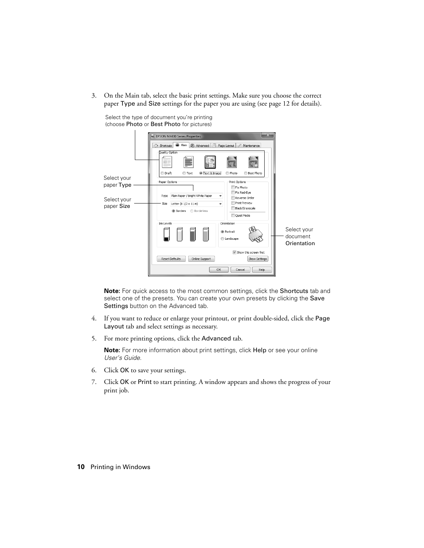3. On the Main tab, select the basic print settings. Make sure you choose the correct paper Type and Size settings for the paper you are using (see [page 12](#page-11-0) for details).



Select the type of document you're printing (choose Photo or Best Photo for pictures)

**Note:** For quick access to the most common settings, click the Shortcuts tab and select one of the presets. You can create your own presets by clicking the Save Settings button on the Advanced tab.

- 4. If you want to reduce or enlarge your printout, or print double-sided, click the Page Layout tab and select settings as necessary.
- 5. For more printing options, click the Advanced tab.

**Note:** For more information about print settings, click Help or see your online *User's Guide*.

- 6. Click OK to save your settings.
- 7. Click OK or Print to start printing. A window appears and shows the progress of your print job.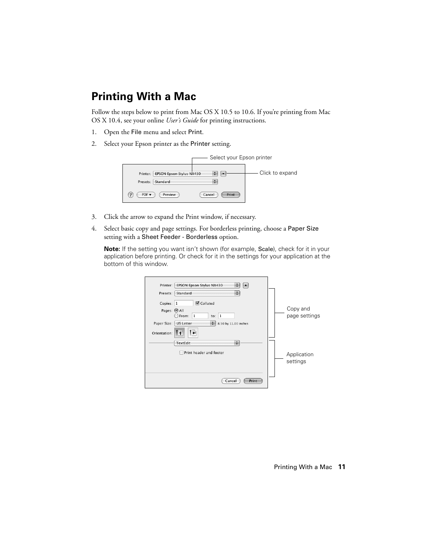# **Printing With a Mac**

Follow the steps below to print from Mac OS X 10.5 to 10.6. If you're printing from Mac OS X 10.4, see your online *User's Guide* for printing instructions.

- 1. Open the File menu and select Print.
- 2. Select your Epson printer as the Printer setting.

| Select your Epson printer                               |                 |
|---------------------------------------------------------|-----------------|
| <b>EPSON Epson Stylus NX430</b><br>Printer:             | Click to expand |
| Standard<br>Presets:<br>÷                               |                 |
| Preview<br>Cancel<br>Print<br>$PDF -$<br>$\overline{z}$ |                 |

- 3. Click the arrow to expand the Print window, if necessary.
- 4. Select basic copy and page settings. For borderless printing, choose a Paper Size setting with a Sheet Feeder - Borderless option.

**Note:** If the setting you want isn't shown (for example, Scale), check for it in your application before printing. Or check for it in the settings for your application at the bottom of this window.

| Printer:     | EPSON Epson Stylus NX430<br>÷            |  |               |
|--------------|------------------------------------------|--|---------------|
| Presets:     | ÷<br>Standard                            |  |               |
| Copies: 1    | <b>Ø</b> Collated                        |  |               |
| Pages: @ All |                                          |  | Copy and      |
|              | 1<br>$\bigcirc$ From:<br>to: $1$         |  | page settings |
| Paper Size:  | 8.50 by 11.00 inches<br><b>US Letter</b> |  |               |
| Orientation: | T »-<br>т                                |  |               |
|              | ÷<br><b>TextEdit</b>                     |  |               |
|              | Print header and footer                  |  | Application   |
|              |                                          |  | settings      |
|              |                                          |  |               |
|              | Cancel<br>Print                          |  |               |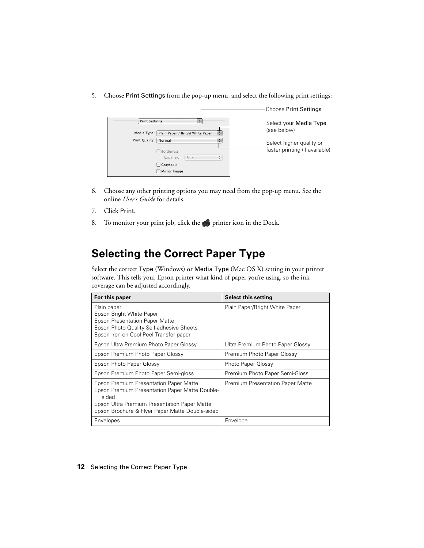<span id="page-11-0"></span>5. Choose Print Settings from the pop-up menu, and select the following print settings:

|                                                      | <b>Choose Print Settings</b>   |
|------------------------------------------------------|--------------------------------|
| <b>Print Settings</b>                                | Select your Media Type         |
| Plain Paper / Bright White Paper<br>Media Type:<br>÷ | (see below)                    |
| ٥<br>Print Quality:<br>Normal                        | Select higher quality or       |
| Borderless                                           | faster printing (if available) |
| А.<br>Expansion:<br>Max<br>$\mathbf{v}$              |                                |
| Grayscale                                            |                                |
| Mirror Image                                         |                                |

- 6. Choose any other printing options you may need from the pop-up menu. See the online *User's Guide* for details.
- 7. Click Print.
- 8. To monitor your print job, click the printer icon in the Dock.

### **Selecting the Correct Paper Type**

Select the correct Type (Windows) or Media Type (Mac OS X) setting in your printer software. This tells your Epson printer what kind of paper you're using, so the ink coverage can be adjusted accordingly.

| For this paper                                                                                                                                                                                                     | <b>Select this setting</b>              |
|--------------------------------------------------------------------------------------------------------------------------------------------------------------------------------------------------------------------|-----------------------------------------|
| Plain paper<br>Epson Bright White Paper<br><b>Epson Presentation Paper Matte</b><br>Epson Photo Quality Self-adhesive Sheets<br>Epson Iron-on Cool Peel Transfer paper                                             | Plain Paper/Bright White Paper          |
| Epson Ultra Premium Photo Paper Glossy                                                                                                                                                                             | Ultra Premium Photo Paper Glossy        |
| Epson Premium Photo Paper Glossy                                                                                                                                                                                   | Premium Photo Paper Glossy              |
| Epson Photo Paper Glossy                                                                                                                                                                                           | Photo Paper Glossy                      |
| Epson Premium Photo Paper Semi-gloss                                                                                                                                                                               | Premium Photo Paper Semi-Gloss          |
| <b>Epson Premium Presentation Paper Matte</b><br><b>Epson Premium Presentation Paper Matte Double-</b><br>sided<br>Epson Ultra Premium Presentation Paper Matte<br>Epson Brochure & Flyer Paper Matte Double-sided | <b>Premium Presentation Paper Matte</b> |
| Envelopes                                                                                                                                                                                                          | Envelope                                |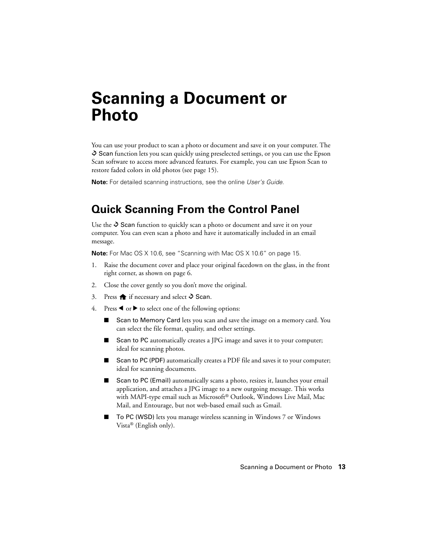# <span id="page-12-0"></span>**Scanning a Document or Photo**

You can use your product to scan a photo or document and save it on your computer. The  $\hat{\diamond}$  Scan function lets you scan quickly using preselected settings, or you can use the Epson Scan software to access more advanced features. For example, you can use Epson Scan to restore faded colors in old photos (see [page 15\)](#page-14-0).

**Note:** For detailed scanning instructions, see the online *User's Guide*.

# **Quick Scanning From the Control Panel**

Use the  $\Diamond$  Scan function to quickly scan a photo or document and save it on your computer. You can even scan a photo and have it automatically included in an email message.

**Note:** For Mac OS X 10.6, see ["Scanning with Mac OS X 10.6" on page 15](#page-14-0).

- 1. Raise the document cover and place your original facedown on the glass, in the front right corner, as shown on [page 6](#page-5-0).
- 2. Close the cover gently so you don't move the original.
- 3. Press  $\bigoplus$  if necessary and select  $\Diamond$  Scan.
- 4. Press  $\triangleleft$  or  $\triangleright$  to select one of the following options:
	- Scan to Memory Card lets you scan and save the image on a memory card. You can select the file format, quality, and other settings.
	- Scan to PC automatically creates a JPG image and saves it to your computer; ideal for scanning photos.
	- Scan to PC (PDF) automatically creates a PDF file and saves it to your computer; ideal for scanning documents.
	- Scan to PC (Email) automatically scans a photo, resizes it, launches your email application, and attaches a JPG image to a new outgoing message. This works with MAPI-type email such as Microsoft® Outlook, Windows Live Mail, Mac Mail, and Entourage, but not web-based email such as Gmail.
	- To PC (WSD) lets you manage wireless scanning in Windows 7 or Windows Vista® (English only).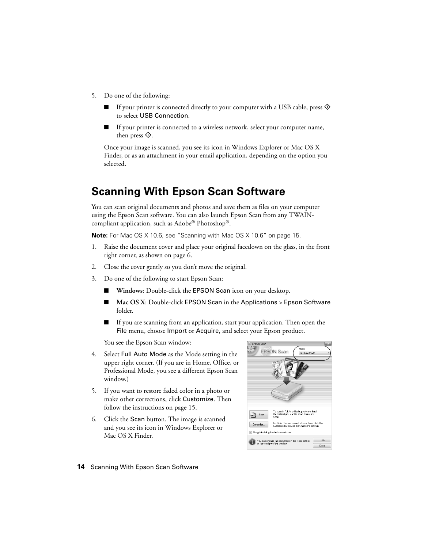- 5. Do one of the following:
	- If your printer is connected directly to your computer with a USB cable, press  $\circledast$ to select USB Connection.
	- If your printer is connected to a wireless network, select your computer name, then press  $\mathcal{D}$ .

Once your image is scanned, you see its icon in Windows Explorer or Mac OS X Finder, or as an attachment in your email application, depending on the option you selected.

## **Scanning With Epson Scan Software**

You can scan original documents and photos and save them as files on your computer using the Epson Scan software. You can also launch Epson Scan from any TWAINcompliant application, such as Adobe® Photoshop®.

**Note:** For Mac OS X 10.6, see ["Scanning with Mac OS X 10.6" on page 15](#page-14-0).

- 1. Raise the document cover and place your original facedown on the glass, in the front right corner, as shown on [page 6](#page-5-0).
- 2. Close the cover gently so you don't move the original.
- 3. Do one of the following to start Epson Scan:
	- **Windows:** Double-click the **EPSON** Scan icon on your desktop.
	- Mac OS X: Double-click EPSON Scan in the Applications > Epson Software folder.
	- If you are scanning from an application, start your application. Then open the File menu, choose Import or Acquire, and select your Epson product.

You see the Epson Scan window:

- 4. Select Full Auto Mode as the Mode setting in the upper right corner. (If you are in Home, Office, or Professional Mode, you see a different Epson Scan window.)
- 5. If you want to restore faded color in a photo or make other corrections, click Customize. Then follow the instructions on [page 15](#page-14-0).
- 6. Click the Scan button. The image is scanned and you see its icon in Windows Explorer or Mac OS X Finder.

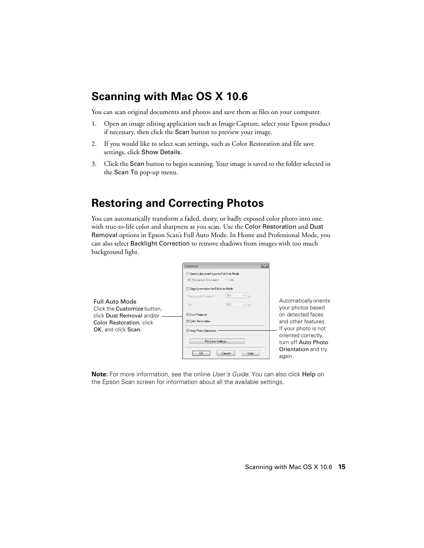# <span id="page-14-0"></span>**Scanning with Mac OS X 10.6**

You can scan original documents and photos and save them as files on your computer.

- 1. Open an image editing application such as Image Capture, select your Epson product if necessary, then click the Scan button to preview your image.
- 2. If you would like to select scan settings, such as Color Restoration and file save settings, click Show Details.
- 3. Click the Scan button to begin scanning. Your image is saved to the folder selected in the Scan To pop-up menu.

# **Restoring and Correcting Photos**

You can automatically transform a faded, dusty, or badly exposed color photo into one with true-to-life color and sharpness as you scan. Use the Color Restoration and Dust Removal options in Epson Scan's Full Auto Mode. In Home and Professional Mode, you can also select Backlight Correction to remove shadows from images with too much background light.

|                                                                                      | $-x -$<br>Customize                                                                                                                             |                                                                             |
|--------------------------------------------------------------------------------------|-------------------------------------------------------------------------------------------------------------------------------------------------|-----------------------------------------------------------------------------|
|                                                                                      | Specify document type for Full Auto Mode<br><sup> Photograph/Document</sup><br>C Film                                                           |                                                                             |
| <b>Full Auto Mode</b><br>Click the Customize button.                                 | Specify resolution for Full Auto Mode<br>300<br>$\forall$<br>doi<br>Photograph/Document:<br>300<br>$\overline{\phantom{a}}$ dpi<br><b>Film:</b> | Automatically orients<br>your photos based                                  |
| click Dust Removal and/or<br><b>Color Restoration</b> , click<br>OK, and click Scan. | <b>V</b> Dust Removal<br>Color Restoration<br>Auto Photo Orientation                                                                            | on detected faces<br>and other features<br>If your photo is not             |
|                                                                                      | File Save Settings<br>Help<br><b>NK</b><br>Cancel                                                                                               | oriented correctly,<br>turn off Auto Photo<br>Orientation and try<br>again. |

**Note:** For more information, see the online *User's Guide*. You can also click Help on the Epson Scan screen for information about all the available settings.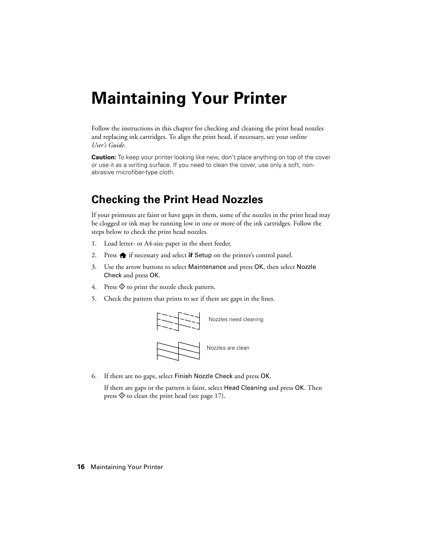# <span id="page-15-0"></span>**Maintaining Your Printer**

Follow the instructions in this chapter for checking and cleaning the print head nozzles and replacing ink cartridges. To align the print head, if necessary, see your online *User's Guide*.

**Caution:** To keep your printer looking like new, don't place anything on top of the cover or use it as a writing surface. If you need to clean the cover, use only a soft, nonabrasive microfiber-type cloth.

## **Checking the Print Head Nozzles**

If your printouts are faint or have gaps in them, some of the nozzles in the print head may be clogged or ink may be running low in one or more of the ink cartridges. Follow the steps below to check the print head nozzles.

- 1. Load letter- or A4-size paper in the sheet feeder.
- 2. Press  $\bigoplus$  if necessary and select  $\mathbb N$  Setup on the printer's control panel.
- 3. Use the arrow buttons to select Maintenance and press OK, then select Nozzle Check and press OK.
- 4. Press  $\circledcirc$  to print the nozzle check pattern.
- 5. Check the pattern that prints to see if there are gaps in the lines.



6. If there are no gaps, select Finish Nozzle Check and press OK.

If there are gaps or the pattern is faint, select Head Cleaning and press OK. Then press  $\circledcirc$  to clean the print head (see [page 17\)](#page-16-0).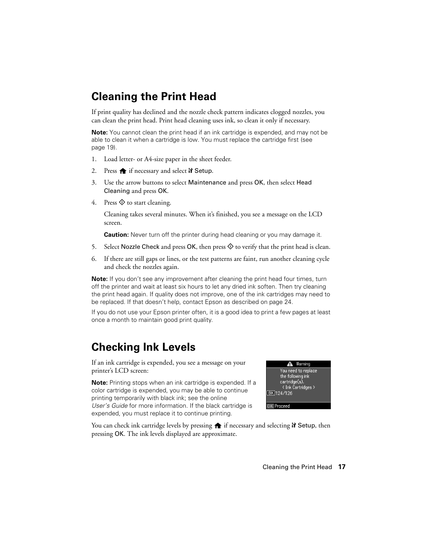# <span id="page-16-0"></span>**Cleaning the Print Head**

If print quality has declined and the nozzle check pattern indicates clogged nozzles, you can clean the print head. Print head cleaning uses ink, so clean it only if necessary.

**Note:** You cannot clean the print head if an ink cartridge is expended, and may not be able to clean it when a cartridge is low. You must replace the cartridge first (see [page 19](#page-18-0)).

- 1. Load letter- or A4-size paper in the sheet feeder.
- 2. Press  $\bigoplus$  if necessary and select  $\mathbb N$  Setup.
- 3. Use the arrow buttons to select Maintenance and press OK, then select Head Cleaning and press OK.
- 4. Press  $\circledcirc$  to start cleaning.

Cleaning takes several minutes. When it's finished, you see a message on the LCD screen.

**Caution:** Never turn off the printer during head cleaning or you may damage it.

- 5. Select Nozzle Check and press  $OK$ , then press  $\hat{\diamond}$  to verify that the print head is clean.
- 6. If there are still gaps or lines, or the test patterns are faint, run another cleaning cycle and check the nozzles again.

**Note:** If you don't see any improvement after cleaning the print head four times, turn off the printer and wait at least six hours to let any dried ink soften. Then try cleaning the print head again. If quality does not improve, one of the ink cartridges may need to be replaced. If that doesn't help, contact Epson as described on [page 24](#page-23-0).

If you do not use your Epson printer often, it is a good idea to print a few pages at least once a month to maintain good print quality.

# **Checking Ink Levels**

If an ink cartridge is expended, you see a message on your printer's LCD screen:

**Note:** Printing stops when an ink cartridge is expended. If a color cartridge is expended, you may be able to continue printing temporarily with black ink; see the online *User's Guide* for more information. If the black cartridge is expended, you must replace it to continue printing.

| <b>A</b> Warning             |  |
|------------------------------|--|
| You need to replace          |  |
| the following ink            |  |
| cartridge(s).                |  |
| < Ink Cartridges >           |  |
| <b>BK</b> <sub>124/126</sub> |  |
|                              |  |
| reed                         |  |

You can check ink cartridge levels by pressing  $\bigoplus$  if necessary and selecting  $\mathbf{F}$  Setup, then pressing OK. The ink levels displayed are approximate.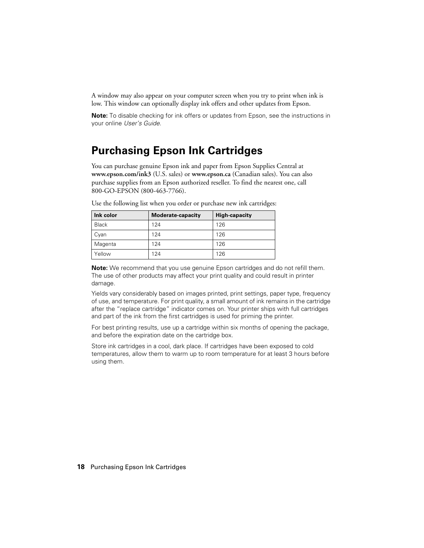<span id="page-17-0"></span>A window may also appear on your computer screen when you try to print when ink is low. This window can optionally display ink offers and other updates from Epson.

**Note:** To disable checking for ink offers or updates from Epson, see the instructions in your online *User's Guide*.

## **Purchasing Epson Ink Cartridges**

You can purchase genuine Epson ink and paper from Epson Supplies Central at **www.epson.com/ink3** (U.S. sales) or **www.epson.ca** (Canadian sales). You can also purchase supplies from an Epson authorized reseller. To find the nearest one, call 800-GO-EPSON (800-463-7766).

| Ink color    | <b>Moderate-capacity</b> | <b>High-capacity</b> |
|--------------|--------------------------|----------------------|
| <b>Black</b> | 124                      | 126                  |
| Cyan         | 124                      | 126                  |
| Magenta      | 124                      | 126                  |
| Yellow       | 124                      | 126                  |

Use the following list when you order or purchase new ink cartridges:

**Note:** We recommend that you use genuine Epson cartridges and do not refill them. The use of other products may affect your print quality and could result in printer damage.

Yields vary considerably based on images printed, print settings, paper type, frequency of use, and temperature. For print quality, a small amount of ink remains in the cartridge after the "replace cartridge" indicator comes on. Your printer ships with full cartridges and part of the ink from the first cartridges is used for priming the printer.

For best printing results, use up a cartridge within six months of opening the package, and before the expiration date on the cartridge box.

Store ink cartridges in a cool, dark place. If cartridges have been exposed to cold temperatures, allow them to warm up to room temperature for at least 3 hours before using them.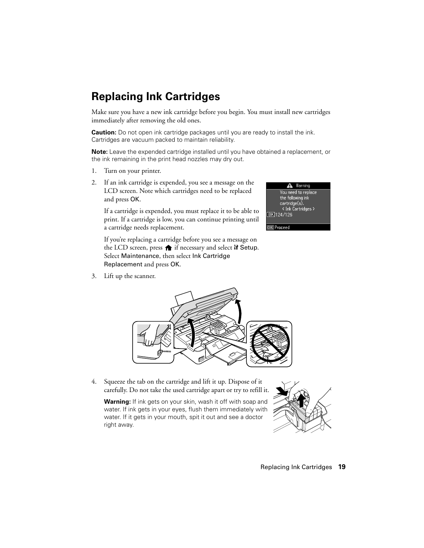#### Replacing Ink Cartridges **19**

# <span id="page-18-0"></span>**Replacing Ink Cartridges**

Make sure you have a new ink cartridge before you begin. You must install new cartridges immediately after removing the old ones.

**Caution:** Do not open ink cartridge packages until you are ready to install the ink. Cartridges are vacuum packed to maintain reliability.

**Note:** Leave the expended cartridge installed until you have obtained a replacement, or the ink remaining in the print head nozzles may dry out.

- 1. Turn on your printer.
- 2. If an ink cartridge is expended, you see a message on the LCD screen. Note which cartridges need to be replaced and press OK.

If a cartridge is expended, you must replace it to be able to print. If a cartridge is low, you can continue printing until a cartridge needs replacement.

If you're replacing a cartridge before you see a message on the LCD screen, press  $\bigcap$  if necessary and select  $\mathbb N$  Setup. Select Maintenance, then select Ink Cartridge Replacement and press OK.

Warning You need to replace the following ink cartridge(s). < Ink Cartridges > **BK** 124/126

**OK Proceed** 

3. Lift up the scanner.



**Warning:** If ink gets on your skin, wash it off with soap and water. If ink gets in your eyes, flush them immediately with water. If it gets in your mouth, spit it out and see a doctor right away.



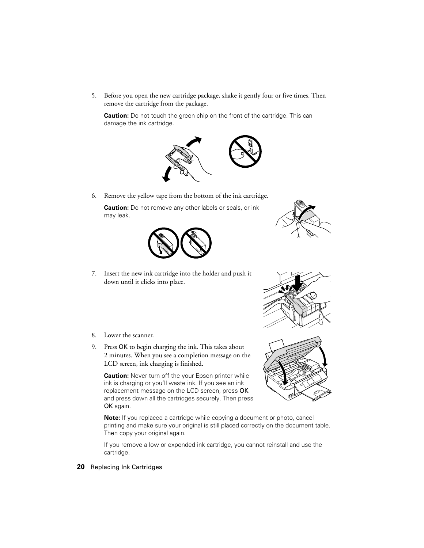5. Before you open the new cartridge package, shake it gently four or five times. Then remove the cartridge from the package.

**Caution:** Do not touch the green chip on the front of the cartridge. This can damage the ink cartridge.



6. Remove the yellow tape from the bottom of the ink cartridge.

**Caution:** Do not remove any other labels or seals, or ink may leak.



7. Insert the new ink cartridge into the holder and push it down until it clicks into place.

- 8. Lower the scanner.
- 9. Press OK to begin charging the ink. This takes about 2 minutes. When you see a completion message on the LCD screen, ink charging is finished.

**Caution:** Never turn off the your Epson printer while ink is charging or you'll waste ink. If you see an ink replacement message on the LCD screen, press OK and press down all the cartridges securely. Then press OK again.

**Note:** If you replaced a cartridge while copying a document or photo, cancel printing and make sure your original is still placed correctly on the document table. Then copy your original again.

If you remove a low or expended ink cartridge, you cannot reinstall and use the cartridge.





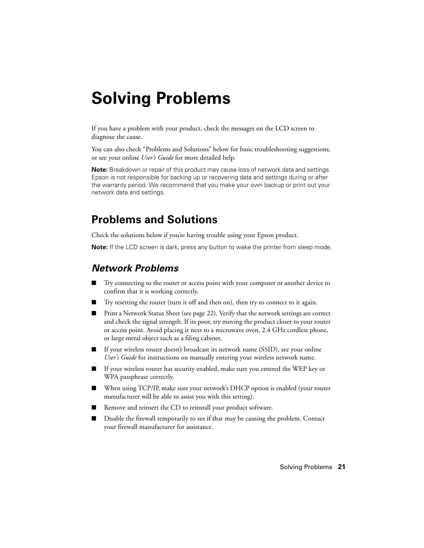# <span id="page-20-0"></span>**Solving Problems**

If you have a problem with your product, check the messages on the LCD screen to diagnose the cause.

You can also check "Problems and Solutions" below for basic troubleshooting suggestions, or see your online *User's Guide* for more detailed help.

**Note:** Breakdown or repair of this product may cause loss of network data and settings. Epson is not responsible for backing up or recovering data and settings during or after the warranty period. We recommend that you make your own backup or print out your network data and settings.

# **Problems and Solutions**

Check the solutions below if you're having trouble using your Epson product.

**Note:** If the LCD screen is dark, press any button to wake the printer from sleep mode.

### *Network Problems*

- Try connecting to the router or access point with your computer or another device to confirm that it is working correctly.
- Try resetting the router (turn it off and then on), then try to connect to it again.
- Print a Network Status Sheet (see [page 22\)](#page-21-0). Verify that the network settings are correct and check the signal strength. If its poor, try moving the product closer to your router or access point. Avoid placing it next to a microwave oven, 2.4 GHz cordless phone, or large metal object such as a filing cabinet.
- If your wireless router doesn't broadcast its network name (SSID), see your online *User's Guide* for instructions on manually entering your wireless network name.
- If your wireless router has security enabled, make sure you entered the WEP key or WPA passphrase correctly.
- When using TCP/IP, make sure your network's DHCP option is enabled (your router manufacturer will be able to assist you with this setting).
- Remove and reinsert the CD to reinstall your product software.
- Disable the firewall temporarily to see if that may be causing the problem. Contact your firewall manufacturer for assistance.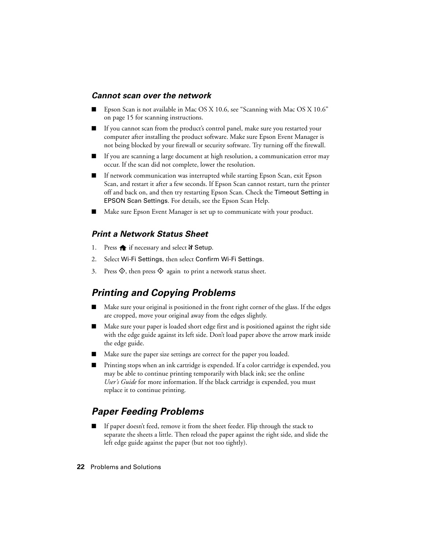#### <span id="page-21-0"></span>*Cannot scan over the network*

- Epson Scan is not available in Mac OS X 10.6, see "Scanning with Mac OS X 10.6" [on page 15](#page-14-0) for scanning instructions.
- If you cannot scan from the product's control panel, make sure you restarted your computer after installing the product software. Make sure Epson Event Manager is not being blocked by your firewall or security software. Try turning off the firewall.
- If you are scanning a large document at high resolution, a communication error may occur. If the scan did not complete, lower the resolution.
- If network communication was interrupted while starting Epson Scan, exit Epson Scan, and restart it after a few seconds. If Epson Scan cannot restart, turn the printer off and back on, and then try restarting Epson Scan. Check the Timeout Setting in EPSON Scan Settings. For details, see the Epson Scan Help.
- Make sure Epson Event Manager is set up to communicate with your product.

#### *Print a Network Status Sheet*

- 1. Press  $\bigoplus$  if necessary and select  $\mathbb N$  Setup.
- 2. Select Wi-Fi Settings, then select Confirm Wi-Fi Settings.
- 3. Press  $\hat{\Phi}$ , then press  $\hat{\Phi}$  again to print a network status sheet.

### *Printing and Copying Problems*

- Make sure your original is positioned in the front right corner of the glass. If the edges are cropped, move your original away from the edges slightly.
- Make sure your paper is loaded short edge first and is positioned against the right side with the edge guide against its left side. Don't load paper above the arrow mark inside the edge guide.
- Make sure the paper size settings are correct for the paper you loaded.
- Printing stops when an ink cartridge is expended. If a color cartridge is expended, you may be able to continue printing temporarily with black ink; see the online *User's Guide* for more information. If the black cartridge is expended, you must replace it to continue printing.

### *Paper Feeding Problems*

If paper doesn't feed, remove it from the sheet feeder. Flip through the stack to separate the sheets a little. Then reload the paper against the right side, and slide the left edge guide against the paper (but not too tightly).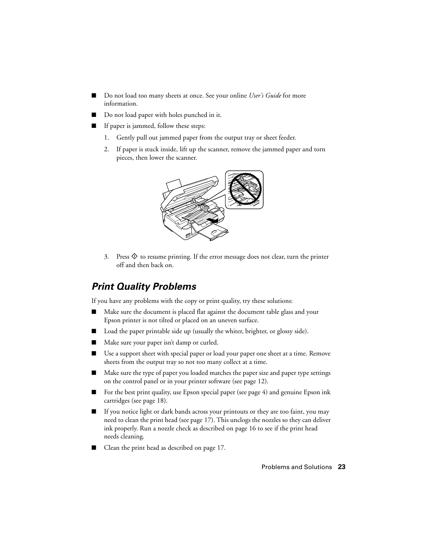- Do not load too many sheets at once. See your online *User's Guide* for more information.
- Do not load paper with holes punched in it.
- If paper is jammed, follow these steps:
	- 1. Gently pull out jammed paper from the output tray or sheet feeder.
	- 2. If paper is stuck inside, lift up the scanner, remove the jammed paper and torn pieces, then lower the scanner.



3. Press  $\hat{\Phi}$  to resume printing. If the error message does not clear, turn the printer off and then back on.

### *Print Quality Problems*

If you have any problems with the copy or print quality, try these solutions:

- Make sure the document is placed flat against the document table glass and your Epson printer is not tilted or placed on an uneven surface.
- Load the paper printable side up (usually the whiter, brighter, or glossy side).
- Make sure your paper isn't damp or curled.
- Use a support sheet with special paper or load your paper one sheet at a time. Remove sheets from the output tray so not too many collect at a time.
- Make sure the type of paper you loaded matches the paper size and paper type settings on the control panel or in your printer software (see [page 12](#page-11-0)).
- For the best print quality, use Epson special paper (see [page 4\)](#page-3-0) and genuine Epson ink cartridges (see [page 18\)](#page-17-0).
- If you notice light or dark bands across your printouts or they are too faint, you may need to clean the print head (see [page 17](#page-16-0)). This unclogs the nozzles so they can deliver ink properly. Run a nozzle check as described on [page 16](#page-15-0) to see if the print head needs cleaning.
- Clean the print head as described on [page 17.](#page-16-0)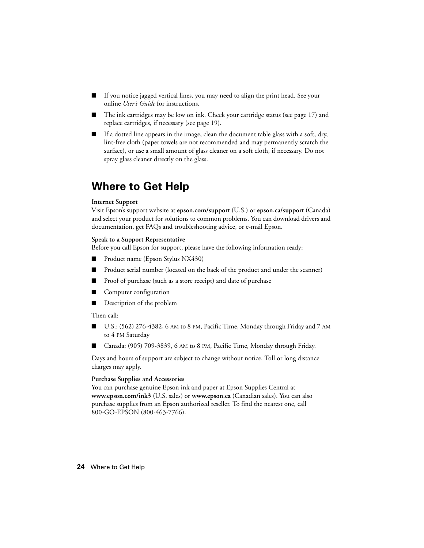- <span id="page-23-0"></span>If you notice jagged vertical lines, you may need to align the print head. See your online *User's Guide* for instructions.
- The ink cartridges may be low on ink. Check your cartridge status (see [page 17\)](#page-16-0) and replace cartridges, if necessary (see [page 19](#page-18-0)).
- If a dotted line appears in the image, clean the document table glass with a soft, dry, lint-free cloth (paper towels are not recommended and may permanently scratch the surface), or use a small amount of glass cleaner on a soft cloth, if necessary. Do not spray glass cleaner directly on the glass.

# **Where to Get Help**

#### **Internet Support**

Visit Epson's support website at **epson.com/support** (U.S.) or **epson.ca/support** (Canada) and select your product for solutions to common problems. You can download drivers and documentation, get FAQs and troubleshooting advice, or e-mail Epson.

#### **Speak to a Support Representative**

Before you call Epson for support, please have the following information ready:

- Product name (Epson Stylus NX430)
- Product serial number (located on the back of the product and under the scanner)
- Proof of purchase (such as a store receipt) and date of purchase
- Computer configuration
- Description of the problem

#### Then call:

- U.S.:  $(562)$  276-4382, 6 AM to 8 PM, Pacific Time, Monday through Friday and 7 AM to 4 PM Saturday
- Canada: (905) 709-3839, 6 AM to 8 PM, Pacific Time, Monday through Friday.

Days and hours of support are subject to change without notice. Toll or long distance charges may apply.

#### **Purchase Supplies and Accessories**

You can purchase genuine Epson ink and paper at Epson Supplies Central at **www.epson.com/ink3** (U.S. sales) or **www.epson.ca** (Canadian sales). You can also purchase supplies from an Epson authorized reseller. To find the nearest one, call 800-GO-EPSON (800-463-7766).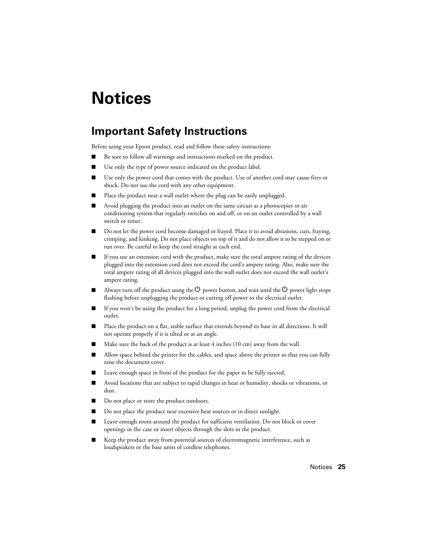# <span id="page-24-0"></span>**Notices**

## **Important Safety Instructions**

Before using your Epson product, read and follow these safety instructions:

- Be sure to follow all warnings and instructions marked on the product.
- Use only the type of power source indicated on the product label.
- Use only the power cord that comes with the product. Use of another cord may cause fires or shock. Do not use the cord with any other equipment.
- Place the product near a wall outlet where the plug can be easily unplugged.
- Avoid plugging the product into an outlet on the same circuit as a photocopier or air conditioning system that regularly switches on and off, or on an outlet controlled by a wall switch or timer.
- Do not let the power cord become damaged or frayed. Place it to avoid abrasions, cuts, fraying, crimping, and kinking. Do not place objects on top of it and do not allow it to be stepped on or run over. Be careful to keep the cord straight at each end.
- If you use an extension cord with the product, make sure the total ampere rating of the devices plugged into the extension cord does not exceed the cord's ampere rating. Also, make sure the total ampere rating of all devices plugged into the wall outlet does not exceed the wall outlet's ampere rating.
- Always turn off the product using the  $\circledcirc$  power button, and wait until the  $\circledcirc$  power light stops flashing before unplugging the product or cutting off power to the electrical outlet.
- If you won't be using the product for a long period, unplug the power cord from the electrical outlet.
- Place the product on a flat, stable surface that extends beyond its base in all directions. It will not operate properly if it is tilted or at an angle.
- Make sure the back of the product is at least 4 inches (10 cm) away from the wall.
- Allow space behind the printer for the cables, and space above the printer so that you can fully raise the document cover.
- Leave enough space in front of the product for the paper to be fully ejected.
- Avoid locations that are subject to rapid changes in heat or humidity, shocks or vibrations, or dust.
- Do not place or store the product outdoors.
- Do not place the product near excessive heat sources or in direct sunlight.
- Leave enough room around the product for sufficient ventilation. Do not block or cover openings in the case or insert objects through the slots in the product.
- Keep the product away from potential sources of electromagnetic interference, such as loudspeakers or the base units of cordless telephones.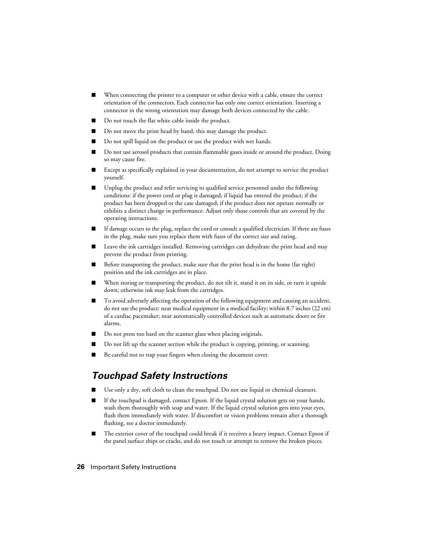- When connecting the printer to a computer or other device with a cable, ensure the correct orientation of the connectors. Each connector has only one correct orientation. Inserting a connector in the wrong orientation may damage both devices connected by the cable.
- Do not touch the flat white cable inside the product.
- Do not move the print head by hand; this may damage the product.
- Do not spill liquid on the product or use the product with wet hands.
- Do not use aerosol products that contain flammable gases inside or around the product. Doing so may cause fire.
- Except as specifically explained in your documentation, do not attempt to service the product yourself.
- Unplug the product and refer servicing to qualified service personnel under the following conditions: if the power cord or plug is damaged; if liquid has entered the product; if the product has been dropped or the case damaged; if the product does not operate normally or exhibits a distinct change in performance. Adjust only those controls that are covered by the operating instructions.
- If damage occurs to the plug, replace the cord or consult a qualified electrician. If there are fuses in the plug, make sure you replace them with fuses of the correct size and rating.
- Leave the ink cartridges installed. Removing cartridges can dehydrate the print head and may prevent the product from printing.
- Before transporting the product, make sure that the print head is in the home (far right) position and the ink cartridges are in place.
- When storing or transporting the product, do not tilt it, stand it on its side, or turn it upside down; otherwise ink may leak from the cartridges.
- To avoid adversely affecting the operation of the following equipment and causing an accident, do not use the product: near medical equipment in a medical facility; within 8.7 inches (22 cm) of a cardiac pacemaker; near automatically controlled devices such as automatic doors or fire alarms.
- Do not press too hard on the scanner glass when placing originals.
- Do not lift up the scanner section while the product is copying, printing, or scanning.
- Be careful not to trap your fingers when closing the document cover.

### *Touchpad Safety Instructions*

- Use only a dry, soft cloth to clean the touchpad. Do not use liquid or chemical cleansers.
- If the touchpad is damaged, contact Epson. If the liquid crystal solution gets on your hands, wash them thoroughly with soap and water. If the liquid crystal solution gets into your eyes, flush them immediately with water. If discomfort or vision problems remain after a thorough flushing, see a doctor immediately.
- The exterior cover of the touchpad could break if it receives a heavy impact. Contact Epson if the panel surface ships or cracks, and do not touch or attempt to remove the broken pieces.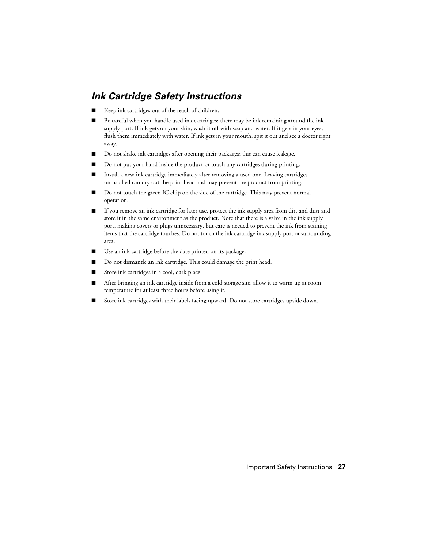### *Ink Cartridge Safety Instructions*

- Keep ink cartridges out of the reach of children.
- Be careful when you handle used ink cartridges; there may be ink remaining around the ink supply port. If ink gets on your skin, wash it off with soap and water. If it gets in your eyes, flush them immediately with water. If ink gets in your mouth, spit it out and see a doctor right away.
- Do not shake ink cartridges after opening their packages; this can cause leakage.
- Do not put your hand inside the product or touch any cartridges during printing.
- Install a new ink cartridge immediately after removing a used one. Leaving cartridges uninstalled can dry out the print head and may prevent the product from printing.
- Do not touch the green IC chip on the side of the cartridge. This may prevent normal operation.
- If you remove an ink cartridge for later use, protect the ink supply area from dirt and dust and store it in the same environment as the product. Note that there is a valve in the ink supply port, making covers or plugs unnecessary, but care is needed to prevent the ink from staining items that the cartridge touches. Do not touch the ink cartridge ink supply port or surrounding area.
- Use an ink cartridge before the date printed on its package.
- Do not dismantle an ink cartridge. This could damage the print head.
- Store ink cartridges in a cool, dark place.
- After bringing an ink cartridge inside from a cold storage site, allow it to warm up at room temperature for at least three hours before using it.
- Store ink cartridges with their labels facing upward. Do not store cartridges upside down.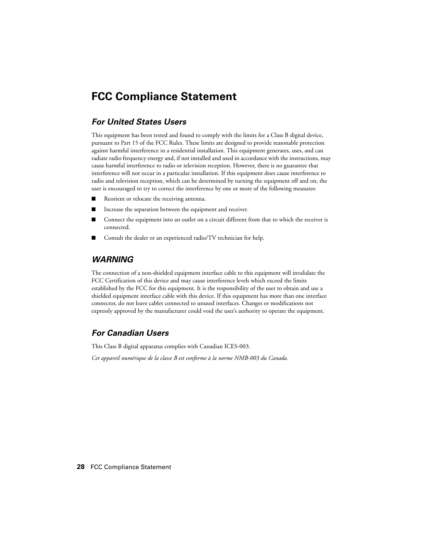## **FCC Compliance Statement**

#### *For United States Users*

This equipment has been tested and found to comply with the limits for a Class B digital device, pursuant to Part 15 of the FCC Rules. These limits are designed to provide reasonable protection against harmful interference in a residential installation. This equipment generates, uses, and can radiate radio frequency energy and, if not installed and used in accordance with the instructions, may cause harmful interference to radio or television reception. However, there is no guarantee that interference will not occur in a particular installation. If this equipment does cause interference to radio and television reception, which can be determined by turning the equipment off and on, the user is encouraged to try to correct the interference by one or more of the following measures:

- Reorient or relocate the receiving antenna.
- Increase the separation between the equipment and receiver.
- Connect the equipment into an outlet on a circuit different from that to which the receiver is connected.
- Consult the dealer or an experienced radio/TV technician for help.

#### *WARNING*

The connection of a non-shielded equipment interface cable to this equipment will invalidate the FCC Certification of this device and may cause interference levels which exceed the limits established by the FCC for this equipment. It is the responsibility of the user to obtain and use a shielded equipment interface cable with this device. If this equipment has more than one interface connector, do not leave cables connected to unused interfaces. Changes or modifications not expressly approved by the manufacturer could void the user's authority to operate the equipment.

#### *For Canadian Users*

This Class B digital apparatus complies with Canadian ICES-003.

*Cet appareil numérique de la classe B est conforme à la norme NMB-003 du Canada.*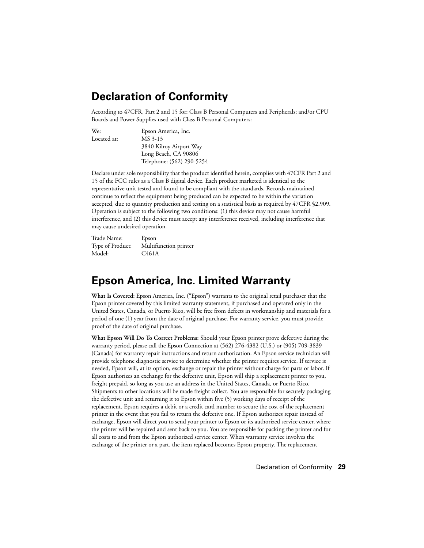# **Declaration of Conformity**

According to 47CFR, Part 2 and 15 for: Class B Personal Computers and Peripherals; and/or CPU Boards and Power Supplies used with Class B Personal Computers:

| We:         | Epson America, Inc.       |
|-------------|---------------------------|
| Located at: | MS 3-13                   |
|             | 3840 Kilroy Airport Way   |
|             | Long Beach, CA 90806      |
|             | Telephone: (562) 290-5254 |

Declare under sole responsibility that the product identified herein, complies with 47CFR Part 2 and 15 of the FCC rules as a Class B digital device. Each product marketed is identical to the representative unit tested and found to be compliant with the standards. Records maintained continue to reflect the equipment being produced can be expected to be within the variation accepted, due to quantity production and testing on a statistical basis as required by 47CFR §2.909. Operation is subject to the following two conditions: (1) this device may not cause harmful interference, and (2) this device must accept any interference received, including interference that may cause undesired operation.

| Trade Name:      | Epson                 |
|------------------|-----------------------|
| Type of Product: | Multifunction printer |
| Model:           | C <sub>461</sub> A    |

## **Epson America, Inc. Limited Warranty**

**What Is Covered:** Epson America, Inc. ("Epson") warrants to the original retail purchaser that the Epson printer covered by this limited warranty statement, if purchased and operated only in the United States, Canada, or Puerto Rico, will be free from defects in workmanship and materials for a period of one (1) year from the date of original purchase. For warranty service, you must provide proof of the date of original purchase.

**What Epson Will Do To Correct Problems:** Should your Epson printer prove defective during the warranty period, please call the Epson Connection at (562) 276-4382 (U.S.) or (905) 709-3839 (Canada) for warranty repair instructions and return authorization. An Epson service technician will provide telephone diagnostic service to determine whether the printer requires service. If service is needed, Epson will, at its option, exchange or repair the printer without charge for parts or labor. If Epson authorizes an exchange for the defective unit, Epson will ship a replacement printer to you, freight prepaid, so long as you use an address in the United States, Canada, or Puerto Rico. Shipments to other locations will be made freight collect. You are responsible for securely packaging the defective unit and returning it to Epson within five (5) working days of receipt of the replacement. Epson requires a debit or a credit card number to secure the cost of the replacement printer in the event that you fail to return the defective one. If Epson authorizes repair instead of exchange, Epson will direct you to send your printer to Epson or its authorized service center, where the printer will be repaired and sent back to you. You are responsible for packing the printer and for all costs to and from the Epson authorized service center. When warranty service involves the exchange of the printer or a part, the item replaced becomes Epson property. The replacement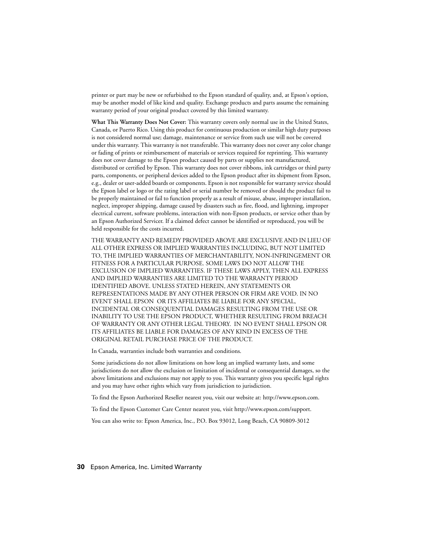printer or part may be new or refurbished to the Epson standard of quality, and, at Epson's option, may be another model of like kind and quality. Exchange products and parts assume the remaining warranty period of your original product covered by this limited warranty.

**What This Warranty Does Not Cover:** This warranty covers only normal use in the United States, Canada, or Puerto Rico. Using this product for continuous production or similar high duty purposes is not considered normal use; damage, maintenance or service from such use will not be covered under this warranty. This warranty is not transferable. This warranty does not cover any color change or fading of prints or reimbursement of materials or services required for reprinting. This warranty does not cover damage to the Epson product caused by parts or supplies not manufactured, distributed or certified by Epson. This warranty does not cover ribbons, ink cartridges or third party parts, components, or peripheral devices added to the Epson product after its shipment from Epson, e.g., dealer or user-added boards or components. Epson is not responsible for warranty service should the Epson label or logo or the rating label or serial number be removed or should the product fail to be properly maintained or fail to function properly as a result of misuse, abuse, improper installation, neglect, improper shipping, damage caused by disasters such as fire, flood, and lightning, improper electrical current, software problems, interaction with non-Epson products, or service other than by an Epson Authorized Servicer. If a claimed defect cannot be identified or reproduced, you will be held responsible for the costs incurred.

THE WARRANTY AND REMEDY PROVIDED ABOVE ARE EXCLUSIVE AND IN LIEU OF ALL OTHER EXPRESS OR IMPLIED WARRANTIES INCLUDING, BUT NOT LIMITED TO, THE IMPLIED WARRANTIES OF MERCHANTABILITY, NON-INFRINGEMENT OR FITNESS FOR A PARTICULAR PURPOSE. SOME LAWS DO NOT ALLOW THE EXCLUSION OF IMPLIED WARRANTIES. IF THESE LAWS APPLY, THEN ALL EXPRESS AND IMPLIED WARRANTIES ARE LIMITED TO THE WARRANTY PERIOD IDENTIFIED ABOVE. UNLESS STATED HEREIN, ANY STATEMENTS OR REPRESENTATIONS MADE BY ANY OTHER PERSON OR FIRM ARE VOID. IN NO EVENT SHALL EPSON OR ITS AFFILIATES BE LIABLE FOR ANY SPECIAL, INCIDENTAL OR CONSEQUENTIAL DAMAGES RESULTING FROM THE USE OR INABILITY TO USE THE EPSON PRODUCT, WHETHER RESULTING FROM BREACH OF WARRANTY OR ANY OTHER LEGAL THEORY. IN NO EVENT SHALL EPSON OR ITS AFFILIATES BE LIABLE FOR DAMAGES OF ANY KIND IN EXCESS OF THE ORIGINAL RETAIL PURCHASE PRICE OF THE PRODUCT.

In Canada, warranties include both warranties and conditions.

Some jurisdictions do not allow limitations on how long an implied warranty lasts, and some jurisdictions do not allow the exclusion or limitation of incidental or consequential damages, so the above limitations and exclusions may not apply to you. This warranty gives you specific legal rights and you may have other rights which vary from jurisdiction to jurisdiction.

To find the Epson Authorized Reseller nearest you, visit our website at: http://www.epson.com.

To find the Epson Customer Care Center nearest you, visit http://www.epson.com/support.

You can also write to: Epson America, Inc., P.O. Box 93012, Long Beach, CA 90809-3012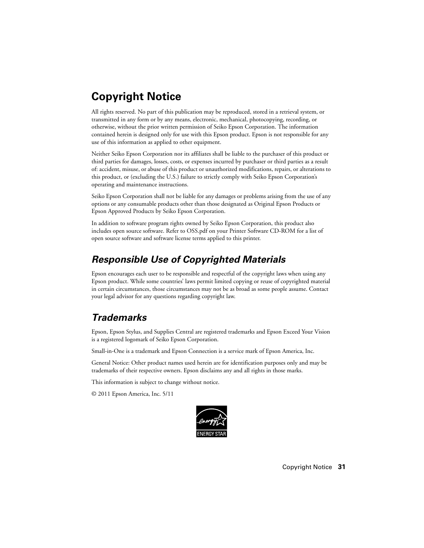# **Copyright Notice**

All rights reserved. No part of this publication may be reproduced, stored in a retrieval system, or transmitted in any form or by any means, electronic, mechanical, photocopying, recording, or otherwise, without the prior written permission of Seiko Epson Corporation. The information contained herein is designed only for use with this Epson product. Epson is not responsible for any use of this information as applied to other equipment.

Neither Seiko Epson Corporation nor its affiliates shall be liable to the purchaser of this product or third parties for damages, losses, costs, or expenses incurred by purchaser or third parties as a result of: accident, misuse, or abuse of this product or unauthorized modifications, repairs, or alterations to this product, or (excluding the U.S.) failure to strictly comply with Seiko Epson Corporation's operating and maintenance instructions.

Seiko Epson Corporation shall not be liable for any damages or problems arising from the use of any options or any consumable products other than those designated as Original Epson Products or Epson Approved Products by Seiko Epson Corporation.

In addition to software program rights owned by Seiko Epson Corporation, this product also includes open source software. Refer to OSS.pdf on your Printer Software CD-ROM for a list of open source software and software license terms applied to this printer.

### *Responsible Use of Copyrighted Materials*

Epson encourages each user to be responsible and respectful of the copyright laws when using any Epson product. While some countries' laws permit limited copying or reuse of copyrighted material in certain circumstances, those circumstances may not be as broad as some people assume. Contact your legal advisor for any questions regarding copyright law.

### *Trademarks*

Epson, Epson Stylus, and Supplies Central are registered trademarks and Epson Exceed Your Vision is a registered logomark of Seiko Epson Corporation.

Small-in-One is a trademark and Epson Connection is a service mark of Epson America, Inc.

General Notice: Other product names used herein are for identification purposes only and may be trademarks of their respective owners. Epson disclaims any and all rights in those marks.

This information is subject to change without notice.

© 2011 Epson America, Inc. 5/11